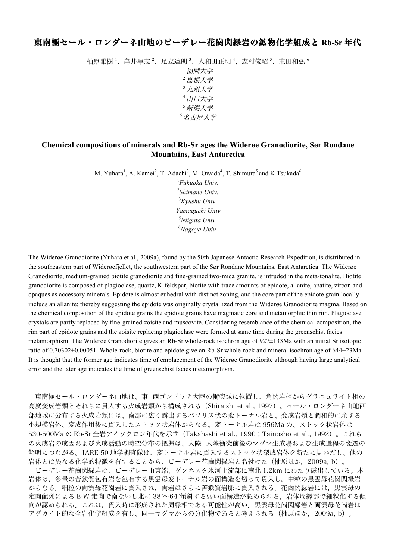## 東南極セール・ロンダーネ山地のビーデレー花崗閃緑岩の鉱物化学組成と **Rb-Sr** 年代

柚原雅樹 '、亀井淳志 <sup>2</sup>、足立達朗 <sup>3</sup>、大和田正明 <sup>4</sup>、志村俊昭 <sup>5</sup>、束田和弘 <sup>6</sup> <sup>1</sup>福岡大学 <sup>2</sup>島根大学 <sup>3</sup>九州大学 <sup>4</sup>山口大学 <sup>5</sup>新潟大学 <sup>6</sup>名古屋大学

## **Chemical compositions of minerals and Rb-Sr ages the Widerøe Granodiorite, Sør Rondane Mountains, East Antarctica**

M. Yuhara<sup>1</sup>, A. Kamei<sup>2</sup>, T. Adachi<sup>3</sup>, M. Owada<sup>4</sup>, T. Shimura<sup>5</sup> and K Tsukada<sup>6</sup>

 *Fukuoka Univ. Shimane Univ. Kyushu Univ. Yamaguchi Univ. Niigata Univ. Nagoya Univ.*

The Widerøe Granodiorite (Yuhara et al., 2009a), found by the 50th Japanese Antactic Research Expedition, is distributed in the southeastern part of Widerøefjellet, the southwestern part of the Sør Rondane Mountains, East Antarctica. The Widerøe Granodiorite, medium-grained biotite granodiorite and fine-grained two-mica granite, is intruded in the meta-tonalite. Biotite granodiorite is composed of plagioclase, quartz, K-feldspar, biotite with trace amounts of epidote, allanite, apatite, zircon and opaques as accessory minerals. Epidote is almost euhedral with distinct zoning, and the core part of the epidote grain locally includs an allanite; thereby suggesting the epidote was originally crystallized from the Widerøe Granodiorite magma. Based on the chemical composition of the epidote grains the epidote grains have magmatic core and metamorphic thin rim. Plagioclase crystals are partly replaced by fine-grained zoisite and muscovite. Considering resemblance of the chemical composition, the rim part of epidote grains and the zoisite replacing plagioclase were formed at same time during the greenschist facies metamorphism. The Widerøe Granodiorite gives an Rb-Sr whole-rock isochron age of 927±133Ma with an initial Sr isotopic ratio of 0.70302±0.00051. Whole-rock, biotite and epidote give an Rb-Sr whole-rock and mineral isochron age of 644±23Ma. It is thought that the former age indicates time of emplacement of the Widerøe Granodiorite although having large analytical error and the later age indicates the time of greenschist facies metamorphism.

東南極セール・ロンダーネ山地は、東-西ゴンドワナ大陸の衝突域に位置し、角閃岩相からグラニュライト相の 高度変成岩類とそれらに貫入する火成岩類から構成される(Shiraishi et al., 1997)。セール・ロンダーネ山地西 部地域に分布する火成岩類には、南部に広く露出するバソリス状の変トーナル岩と、変成岩類と調和的に産する 小規模岩体、変成作用後に貫入したストック状岩体からなる。変トーナル岩は 956Ma の、ストック状岩体は 530-500Ma の Rb-Sr 全岩アイソクロン年代を示す(Takahashi et al., 1990;Tainosho et al., 1992)。これら の火成岩の成因および火成活動の時空分布の把握は、大陸-大陸衝突前後のマグマ生成場および生成過程の変遷の 解明につながる。JARE-50 地学調査隊は、変トーナル岩に貫入するストック状深成岩体を新たに見いだし、他の 岩体とは異なる化学的特徴を有することから、ビーデレー花崗閃緑岩と名付けた(柚原ほか,2009a, b)。 ビーデレー花崗閃緑岩は、ビーデレー山東端、グンネスタ氷河上流部に南北 1.2km にわたり露出している。本 岩体は,多量の苦鉄質包有岩を包有する黒雲母変トーナル岩の面構造を切って貫入し,中粒の黒雲母花崗閃緑岩 からなる. 細粒の両雲母花崗岩に貫入され、両岩はさらに苦鉄質岩脈に貫入される. 花崗閃緑岩には、黒雲母の 定向配列による E-W 走向で南ないし北に 38°~64°傾斜する弱い面構造が認められる.岩体周縁部で細粒化する傾 向が認められる. これは、貫入時に形成された周縁相である可能性が高い. 黒雲母花崗閃緑岩と両雲母花崗岩は アダカイト的な全岩化学組成を有し、同一マグマからの分化物であると考えられる(柚原ほか,2009a, b)。